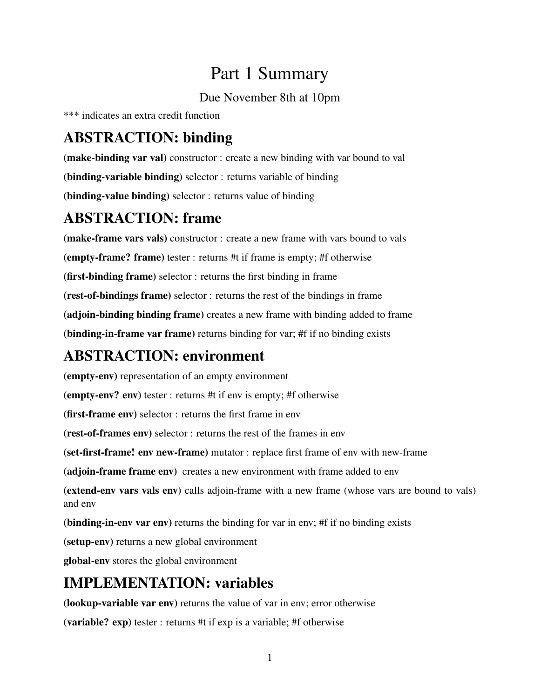# Part 1 Summary

Due November 8th at 10pm

\*\*\* indicates an extra credit function

# ABSTRACTION: binding

(make-binding var val) constructor : create a new binding with var bound to val (binding-variable binding) selector : returns variable of binding (binding-value binding) selector : returns value of binding

#### ABSTRACTION: frame

(make-frame vars vals) constructor : create a new frame with vars bound to vals (empty-frame? frame) tester : returns #t if frame is empty; #f otherwise (first-binding frame) selector : returns the first binding in frame (rest-of-bindings frame) selector : returns the rest of the bindings in frame (adjoin-binding binding frame) creates a new frame with binding added to frame (binding-in-frame var frame) returns binding for var; #f if no binding exists

# ABSTRACTION: environment

(empty-env) representation of an empty environment (empty-env? env) tester : returns #t if env is empty; #f otherwise (first-frame env) selector : returns the first frame in env (rest-of-frames env) selector : returns the rest of the frames in env (set-first-frame! env new-frame) mutator : replace first frame of env with new-frame (adjoin-frame frame env) creates a new environment with frame added to env (extend-env vars vals env) calls adjoin-frame with a new frame (whose vars are bound to vals) and env (binding-in-env var env) returns the binding for var in env; #f if no binding exists (setup-env) returns a new global environment global-env stores the global environment

# IMPLEMENTATION: variables

(lookup-variable var env) returns the value of var in env; error otherwise (variable? exp) tester : returns #t if exp is a variable; #f otherwise